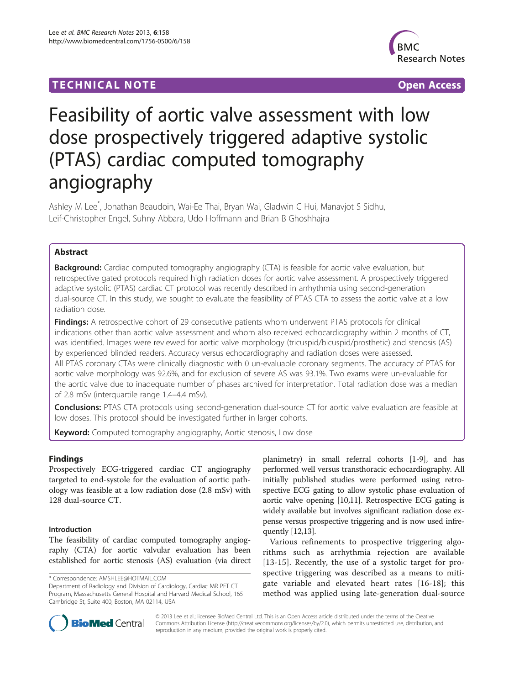## **TECHNICAL NOTE TECHNICAL NOTE**



# Feasibility of aortic valve assessment with low dose prospectively triggered adaptive systolic (PTAS) cardiac computed tomography angiography

Ashley M Lee\* , Jonathan Beaudoin, Wai-Ee Thai, Bryan Wai, Gladwin C Hui, Manavjot S Sidhu, Leif-Christopher Engel, Suhny Abbara, Udo Hoffmann and Brian B Ghoshhajra

## Abstract

**Background:** Cardiac computed tomography angiography (CTA) is feasible for aortic valve evaluation, but retrospective gated protocols required high radiation doses for aortic valve assessment. A prospectively triggered adaptive systolic (PTAS) cardiac CT protocol was recently described in arrhythmia using second-generation dual-source CT. In this study, we sought to evaluate the feasibility of PTAS CTA to assess the aortic valve at a low radiation dose.

Findings: A retrospective cohort of 29 consecutive patients whom underwent PTAS protocols for clinical indications other than aortic valve assessment and whom also received echocardiography within 2 months of CT, was identified. Images were reviewed for aortic valve morphology (tricuspid/bicuspid/prosthetic) and stenosis (AS) by experienced blinded readers. Accuracy versus echocardiography and radiation doses were assessed. All PTAS coronary CTAs were clinically diagnostic with 0 un-evaluable coronary segments. The accuracy of PTAS for aortic valve morphology was 92.6%, and for exclusion of severe AS was 93.1%. Two exams were un-evaluable for the aortic valve due to inadequate number of phases archived for interpretation. Total radiation dose was a median of 2.8 mSv (interquartile range 1.4–4.4 mSv).

Conclusions: PTAS CTA protocols using second-generation dual-source CT for aortic valve evaluation are feasible at low doses. This protocol should be investigated further in larger cohorts.

Keyword: Computed tomography angiography, Aortic stenosis, Low dose

## Findings

Prospectively ECG-triggered cardiac CT angiography targeted to end-systole for the evaluation of aortic pathology was feasible at a low radiation dose (2.8 mSv) with 128 dual-source CT.

## Introduction

The feasibility of cardiac computed tomography angiography (CTA) for aortic valvular evaluation has been established for aortic stenosis (AS) evaluation (via direct

\* Correspondence: [AMSHLEE@HOTMAIL.COM](mailto:AMSHLEE@HOTMAIL.COM)

Department of Radiology and Division of Cardiology, Cardiac MR PET CT Program, Massachusetts General Hospital and Harvard Medical School, 165 Cambridge St, Suite 400, Boston, MA 02114, USA

planimetry) in small referral cohorts [[1-9\]](#page-5-0), and has performed well versus transthoracic echocardiography. All initially published studies were performed using retrospective ECG gating to allow systolic phase evaluation of aortic valve opening [\[10,11](#page-5-0)]. Retrospective ECG gating is widely available but involves significant radiation dose expense versus prospective triggering and is now used infrequently [\[12,13](#page-5-0)].

Various refinements to prospective triggering algorithms such as arrhythmia rejection are available [[13](#page-5-0)-[15](#page-5-0)]. Recently, the use of a systolic target for prospective triggering was described as a means to mitigate variable and elevated heart rates [\[16-18](#page-5-0)]; this method was applied using late-generation dual-source



© 2013 Lee et al.; licensee BioMed Central Ltd. This is an Open Access article distributed under the terms of the Creative Commons Attribution License [\(http://creativecommons.org/licenses/by/2.0\)](http://creativecommons.org/licenses/by/2.0), which permits unrestricted use, distribution, and reproduction in any medium, provided the original work is properly cited.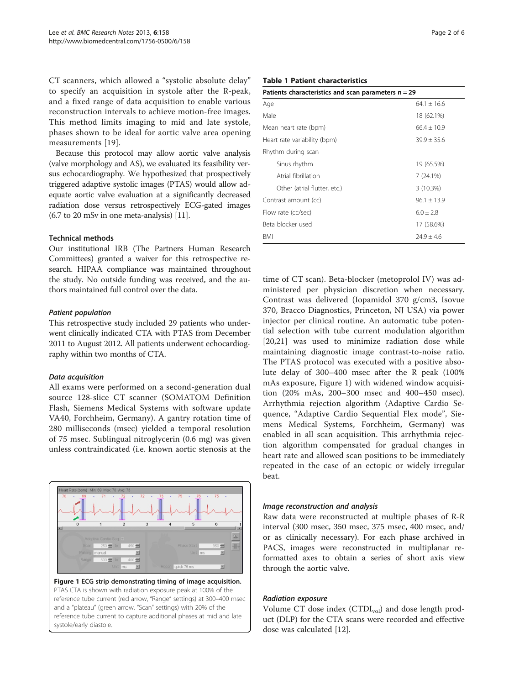<span id="page-1-0"></span>CT scanners, which allowed a "systolic absolute delay" to specify an acquisition in systole after the R-peak, and a fixed range of data acquisition to enable various reconstruction intervals to achieve motion-free images. This method limits imaging to mid and late systole, phases shown to be ideal for aortic valve area opening measurements [[19](#page-5-0)].

Because this protocol may allow aortic valve analysis (valve morphology and AS), we evaluated its feasibility versus echocardiography. We hypothesized that prospectively triggered adaptive systolic images (PTAS) would allow adequate aortic valve evaluation at a significantly decreased radiation dose versus retrospectively ECG-gated images (6.7 to 20 mSv in one meta-analysis) [[11](#page-5-0)].

## Technical methods

Our institutional IRB (The Partners Human Research Committees) granted a waiver for this retrospective research. HIPAA compliance was maintained throughout the study. No outside funding was received, and the authors maintained full control over the data.

## Patient population

This retrospective study included 29 patients who underwent clinically indicated CTA with PTAS from December 2011 to August 2012. All patients underwent echocardiography within two months of CTA.

## Data acquisition

All exams were performed on a second-generation dual source 128-slice CT scanner (SOMATOM Definition Flash, Siemens Medical Systems with software update VA40, Forchheim, Germany). A gantry rotation time of 280 milliseconds (msec) yielded a temporal resolution of 75 msec. Sublingual nitroglycerin (0.6 mg) was given unless contraindicated (i.e. known aortic stenosis at the



Figure 1 ECG strip demonstrating timing of image acquisition. PTAS CTA is shown with radiation exposure peak at 100% of the reference tube current (red arrow, "Range" settings) at 300–400 msec and a "plateau" (green arrow, "Scan" settings) with 20% of the reference tube current to capture additional phases at mid and late systole/early diastole.

### Table 1 Patient characteristics

| Patients characteristics and scan parameters $n = 29$ |                 |  |  |
|-------------------------------------------------------|-----------------|--|--|
| Age                                                   | $64.1 + 16.6$   |  |  |
| Male                                                  | 18 (62.1%)      |  |  |
| Mean heart rate (bpm)                                 | $66.4 \pm 10.9$ |  |  |
| Heart rate variability (bpm)                          | $39.9 \pm 35.6$ |  |  |
| Rhythm during scan                                    |                 |  |  |
| Sinus rhythm                                          | 19 (65.5%)      |  |  |
| Atrial fibrillation                                   | 7(24.1%)        |  |  |
| Other (atrial flutter, etc.)                          | 3(10.3%)        |  |  |
| Contrast amount (cc)                                  | $96.1 + 13.9$   |  |  |
| Flow rate (cc/sec)                                    | $6.0 + 2.8$     |  |  |
| Beta blocker used                                     | 17 (58.6%)      |  |  |
| <b>BMI</b>                                            | $74.9 + 4.6$    |  |  |

time of CT scan). Beta-blocker (metoprolol IV) was administered per physician discretion when necessary. Contrast was delivered (Iopamidol 370 g/cm3, Isovue 370, Bracco Diagnostics, Princeton, NJ USA) via power injector per clinical routine. An automatic tube potential selection with tube current modulation algorithm [[20,21](#page-5-0)] was used to minimize radiation dose while maintaining diagnostic image contrast-to-noise ratio. The PTAS protocol was executed with a positive absolute delay of 300–400 msec after the R peak (100% mAs exposure, Figure 1) with widened window acquisition (20% mAs, 200–300 msec and 400–450 msec). Arrhythmia rejection algorithm (Adaptive Cardio Sequence, "Adaptive Cardio Sequential Flex mode", Siemens Medical Systems, Forchheim, Germany) was enabled in all scan acquisition. This arrhythmia rejection algorithm compensated for gradual changes in heart rate and allowed scan positions to be immediately repeated in the case of an ectopic or widely irregular beat.

## Image reconstruction and analysis

Raw data were reconstructed at multiple phases of R-R interval (300 msec, 350 msec, 375 msec, 400 msec, and/ or as clinically necessary). For each phase archived in PACS, images were reconstructed in multiplanar reformatted axes to obtain a series of short axis view through the aortic valve.

## Radiation exposure

Volume CT dose index  $(CTDI_{vol})$  and dose length product (DLP) for the CTA scans were recorded and effective dose was calculated [\[12\]](#page-5-0).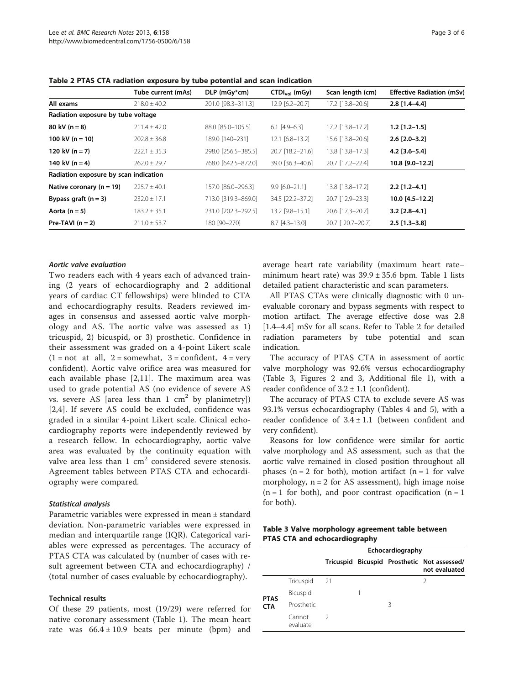|                                       | Tube current (mAs) | DLP (mGy*cm)        | $CTDIvol$ (mGy)  | Scan length (cm)  | <b>Effective Radiation (mSv)</b> |
|---------------------------------------|--------------------|---------------------|------------------|-------------------|----------------------------------|
| All exams                             | $218.0 \pm 40.2$   | 201.0 [98.3-311.3]  | 12.9 [6.2-20.7]  | 17.2 [13.8-20.6]  | $2.8$ [1.4-4.4]                  |
| Radiation exposure by tube voltage    |                    |                     |                  |                   |                                  |
| 80 kV $(n = 8)$                       | $211.4 \pm 42.0$   | 88.0 [85.0-105.5]   | $6.1$ [4.9-6.3]  | 17.2 [13.8-17.2]  | $1.2$ [1.2-1.5]                  |
| 100 kV $(n = 10)$                     | $202.8 \pm 36.8$   | 189.0 [140-231]     | 12.1 [6.8-13.2]  | 15.6 [13.8-20.6]  | $2.6$ [2.0-3.2]                  |
| 120 kV $(n = 7)$                      | $222.1 \pm 35.3$   | 298.0 [256.5-385.5] | 20.7 [18.2-21.6] | 13.8 [13.8-17.3]  | $4.2$ [3.6-5.4]                  |
| 140 kV $(n = 4)$                      | $262.0 \pm 29.7$   | 768.0 [642.5-872.0] | 39.0 [36.3-40.6] | 20.7 [17.2-22.4]  | 10.8 [9.0-12.2]                  |
| Radiation exposure by scan indication |                    |                     |                  |                   |                                  |
| Native coronary $(n = 19)$            | $225.7 \pm 40.1$   | 157.0 [86.0-296.3]  | $9.9$ [6.0-21.1] | 13.8 [13.8-17.2]  | $2.2$ [1.2-4.1]                  |
| Bypass graft $(n = 3)$                | $232.0 \pm 17.1$   | 713.0 [319.3-869.0] | 34.5 [22.2-37.2] | 20.7 [12.9-23.3]  | $10.0$ [4.5-12.2]                |
| Aorta $(n = 5)$                       | $183.2 \pm 35.1$   | 231.0 [202.3-292.5] | 13.2 [9.8-15.1]  | 20.6 [17.3-20.7]  | $3.2$ [2.8-4.1]                  |
| Pre-TAVI $(n = 2)$                    | $211.0 \pm 53.7$   | 180 [90-270]        | $8.7$ [4.3-13.0] | 20.7 [ 20.7-20.7] | $2.5$ [1.3-3.8]                  |

Table 2 PTAS CTA radiation exposure by tube potential and scan indication

#### Aortic valve evaluation

Two readers each with 4 years each of advanced training (2 years of echocardiography and 2 additional years of cardiac CT fellowships) were blinded to CTA and echocardiography results. Readers reviewed images in consensus and assessed aortic valve morphology and AS. The aortic valve was assessed as 1) tricuspid, 2) bicuspid, or 3) prosthetic. Confidence in their assessment was graded on a 4-point Likert scale  $(1 = not at all, 2 = somewhat, 3 = confident, 4 = very$ confident). Aortic valve orifice area was measured for each available phase [[2,11](#page-5-0)]. The maximum area was used to grade potential AS (no evidence of severe AS vs. severe AS [area less than 1  $\text{cm}^2$  by planimetry]) [[2,4](#page-5-0)]. If severe AS could be excluded, confidence was graded in a similar 4-point Likert scale. Clinical echocardiography reports were independently reviewed by a research fellow. In echocardiography, aortic valve area was evaluated by the continuity equation with valve area less than  $1 \text{ cm}^2$  considered severe stenosis. Agreement tables between PTAS CTA and echocardiography were compared.

## Statistical analysis

Parametric variables were expressed in mean ± standard deviation. Non-parametric variables were expressed in median and interquartile range (IQR). Categorical variables were expressed as percentages. The accuracy of PTAS CTA was calculated by (number of cases with result agreement between CTA and echocardiography) / (total number of cases evaluable by echocardiography).

## Technical results

Of these 29 patients, most (19/29) were referred for native coronary assessment (Table [1](#page-1-0)). The mean heart rate was  $66.4 \pm 10.9$  beats per minute (bpm) and average heart rate variability (maximum heart rate– minimum heart rate) was  $39.9 \pm 35.6$  bpm. Table [1](#page-1-0) lists detailed patient characteristic and scan parameters.

All PTAS CTAs were clinically diagnostic with 0 unevaluable coronary and bypass segments with respect to motion artifact. The average effective dose was 2.8 [1.4–4.4] mSv for all scans. Refer to Table 2 for detailed radiation parameters by tube potential and scan indication.

The accuracy of PTAS CTA in assessment of aortic valve morphology was 92.6% versus echocardiography (Table 3, Figures [2](#page-3-0) and [3,](#page-3-0) Additional file [1\)](#page-4-0), with a reader confidence of  $3.2 \pm 1.1$  (confident).

The accuracy of PTAS CTA to exclude severe AS was 93.1% versus echocardiography (Tables [4](#page-4-0) and [5](#page-4-0)), with a reader confidence of  $3.4 \pm 1.1$  (between confident and very confident).

Reasons for low confidence were similar for aortic valve morphology and AS assessment, such as that the aortic valve remained in closed position throughout all phases ( $n = 2$  for both), motion artifact ( $n = 1$  for valve morphology,  $n = 2$  for AS assessment), high image noise  $(n = 1)$  for both), and poor contrast opacification  $(n = 1)$ for both).

Table 3 Valve morphology agreement table between PTAS CTA and echocardiography

|                           |                    | Echocardiography |  |   |                                                              |
|---------------------------|--------------------|------------------|--|---|--------------------------------------------------------------|
|                           |                    |                  |  |   | Tricuspid Bicuspid Prosthetic Not assessed/<br>not evaluated |
| <b>PTAS</b><br><b>CTA</b> | Tricuspid          | - 21             |  |   | 2                                                            |
|                           | Bicuspid           |                  |  |   |                                                              |
|                           | Prosthetic         |                  |  | ζ |                                                              |
|                           | Cannot<br>evaluate | $\mathcal{L}$    |  |   |                                                              |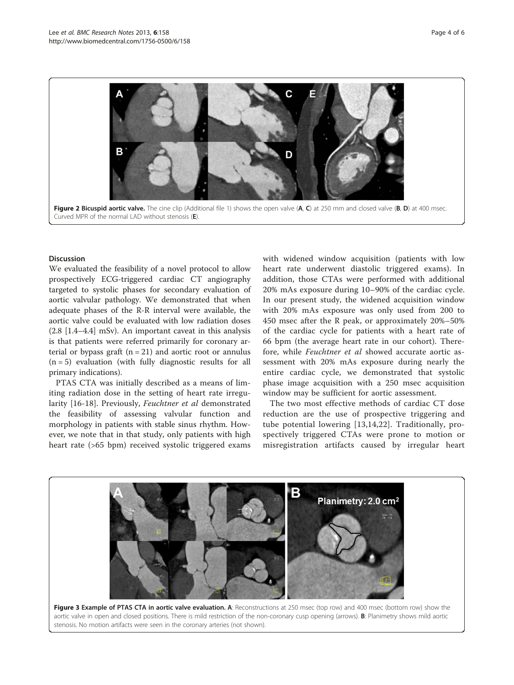<span id="page-3-0"></span>

## Discussion

We evaluated the feasibility of a novel protocol to allow prospectively ECG-triggered cardiac CT angiography targeted to systolic phases for secondary evaluation of aortic valvular pathology. We demonstrated that when adequate phases of the R-R interval were available, the aortic valve could be evaluated with low radiation doses (2.8 [1.4–4.4] mSv). An important caveat in this analysis is that patients were referred primarily for coronary arterial or bypass graft  $(n = 21)$  and aortic root or annulus  $(n = 5)$  evaluation (with fully diagnostic results for all primary indications).

PTAS CTA was initially described as a means of limiting radiation dose in the setting of heart rate irregularity [[16-18](#page-5-0)]. Previously, Feuchtner et al demonstrated the feasibility of assessing valvular function and morphology in patients with stable sinus rhythm. However, we note that in that study, only patients with high heart rate (>65 bpm) received systolic triggered exams with widened window acquisition (patients with low heart rate underwent diastolic triggered exams). In addition, those CTAs were performed with additional 20% mAs exposure during 10–90% of the cardiac cycle. In our present study, the widened acquisition window with 20% mAs exposure was only used from 200 to 450 msec after the R peak, or approximately 20%–50% of the cardiac cycle for patients with a heart rate of 66 bpm (the average heart rate in our cohort). Therefore, while Feuchtner et al showed accurate aortic assessment with 20% mAs exposure during nearly the entire cardiac cycle, we demonstrated that systolic phase image acquisition with a 250 msec acquisition window may be sufficient for aortic assessment.

The two most effective methods of cardiac CT dose reduction are the use of prospective triggering and tube potential lowering [[13,14,22](#page-5-0)]. Traditionally, prospectively triggered CTAs were prone to motion or misregistration artifacts caused by irregular heart



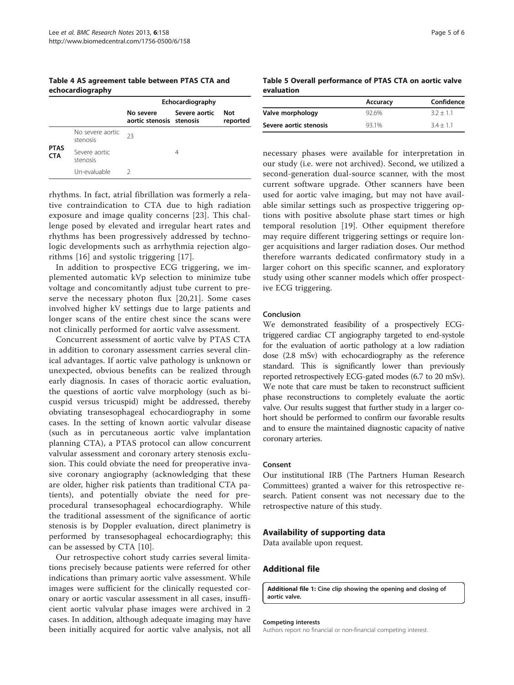<span id="page-4-0"></span>Table 4 AS agreement table between PTAS CTA and echocardiography

|                           |                              | Echocardiography                      |               |                 |
|---------------------------|------------------------------|---------------------------------------|---------------|-----------------|
|                           |                              | No severe<br>aortic stenosis stenosis | Severe aortic | Not<br>reported |
|                           | No severe aortic<br>stenosis | 23                                    |               |                 |
| <b>PTAS</b><br><b>CTA</b> | Severe aortic<br>stenosis    |                                       | 4             |                 |
|                           | Un-evaluable                 | 2                                     |               |                 |

rhythms. In fact, atrial fibrillation was formerly a relative contraindication to CTA due to high radiation exposure and image quality concerns [[23\]](#page-5-0). This challenge posed by elevated and irregular heart rates and rhythms has been progressively addressed by technologic developments such as arrhythmia rejection algo-

In addition to prospective ECG triggering, we im-

involved higher kV settings due to large patients and longer scans of the entire chest since the scans were not clinically performed for aortic valve assessment. Concurrent assessment of aortic valve by PTAS CTA in addition to coronary assessment carries several clinical advantages. If aortic valve pathology is unknown or unexpected, obvious benefits can be realized through early diagnosis. In cases of thoracic aortic evaluation, the questions of aortic valve morphology (such as bicuspid versus tricuspid) might be addressed, thereby obviating transesophageal echocardiography in some cases. In the setting of known aortic valvular disease (such as in percutaneous aortic valve implantation planning CTA), a PTAS protocol can allow concurrent valvular assessment and coronary artery stenosis exclusion. This could obviate the need for preoperative invasive coronary angiography (acknowledging that these are older, higher risk patients than traditional CTA patients), and potentially obviate the need for preprocedural transesophageal echocardiography. While the traditional assessment of the significance of aortic stenosis is by Doppler evaluation, direct planimetry is performed by transesophageal echocardiography; this

rithms [[16](#page-5-0)] and systolic triggering [\[17\]](#page-5-0).

Table 5 Overall performance of PTAS CTA on aortic valve evaluation

|                        | Accuracy | Confidence  |
|------------------------|----------|-------------|
| Valve morphology       | 92.6%    | $3.2 + 1.1$ |
| Severe aortic stenosis | 931%     | $3.4 + 1.1$ |

necessary phases were available for interpretation in our study (i.e. were not archived). Second, we utilized a second-generation dual-source scanner, with the most current software upgrade. Other scanners have been used for aortic valve imaging, but may not have available similar settings such as prospective triggering options with positive absolute phase start times or high temporal resolution [[19\]](#page-5-0). Other equipment therefore may require different triggering settings or require longer acquisitions and larger radiation doses. Our method therefore warrants dedicated confirmatory study in a larger cohort on this specific scanner, and exploratory study using other scanner models which offer prospective ECG triggering.

plemented automatic kVp selection to minimize tube voltage and concomitantly adjust tube current to preserve the necessary photon flux [[20](#page-5-0),[21\]](#page-5-0). Some cases

## Conclusion

We demonstrated feasibility of a prospectively ECGtriggered cardiac CT angiography targeted to end-systole for the evaluation of aortic pathology at a low radiation dose (2.8 mSv) with echocardiography as the reference standard. This is significantly lower than previously reported retrospectively ECG-gated modes (6.7 to 20 mSv). We note that care must be taken to reconstruct sufficient phase reconstructions to completely evaluate the aortic valve. Our results suggest that further study in a larger cohort should be performed to confirm our favorable results and to ensure the maintained diagnostic capacity of native coronary arteries.

#### Consent

Our institutional IRB (The Partners Human Research Committees) granted a waiver for this retrospective research. Patient consent was not necessary due to the retrospective nature of this study.

## Availability of supporting data

Data available upon request.

## Additional file

[Additional file 1:](http://www.biomedcentral.com/content/supplementary/1756-0500-6-158-S1.gif) Cine clip showing the opening and closing of aortic valve.

Our retrospective cohort study carries several limitations precisely because patients were referred for other indications than primary aortic valve assessment. While images were sufficient for the clinically requested coronary or aortic vascular assessment in all cases, insufficient aortic valvular phase images were archived in 2 cases. In addition, although adequate imaging may have been initially acquired for aortic valve analysis, not all

can be assessed by CTA [[10](#page-5-0)].

#### Competing interests

Authors report no financial or non-financial competing interest.